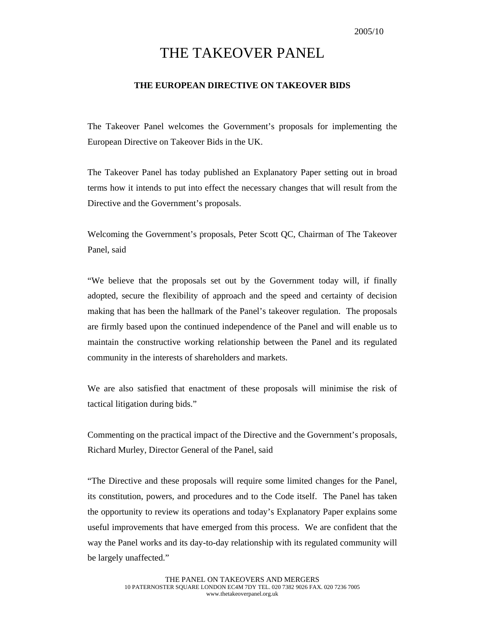# THE TAKEOVER PANEL

#### **THE EUROPEAN DIRECTIVE ON TAKEOVER BIDS**

The Takeover Panel welcomes the Government's proposals for implementing the European Directive on Takeover Bids in the UK.

The Takeover Panel has today published an Explanatory Paper setting out in broad terms how it intends to put into effect the necessary changes that will result from the Directive and the Government's proposals.

Welcoming the Government's proposals, Peter Scott QC, Chairman of The Takeover Panel, said

"We believe that the proposals set out by the Government today will, if finally adopted, secure the flexibility of approach and the speed and certainty of decision making that has been the hallmark of the Panel's takeover regulation. The proposals are firmly based upon the continued independence of the Panel and will enable us to maintain the constructive working relationship between the Panel and its regulated community in the interests of shareholders and markets.

We are also satisfied that enactment of these proposals will minimise the risk of tactical litigation during bids."

Commenting on the practical impact of the Directive and the Government's proposals, Richard Murley, Director General of the Panel, said

"The Directive and these proposals will require some limited changes for the Panel, its constitution, powers, and procedures and to the Code itself. The Panel has taken the opportunity to review its operations and today's Explanatory Paper explains some useful improvements that have emerged from this process. We are confident that the way the Panel works and its day-to-day relationship with its regulated community will be largely unaffected."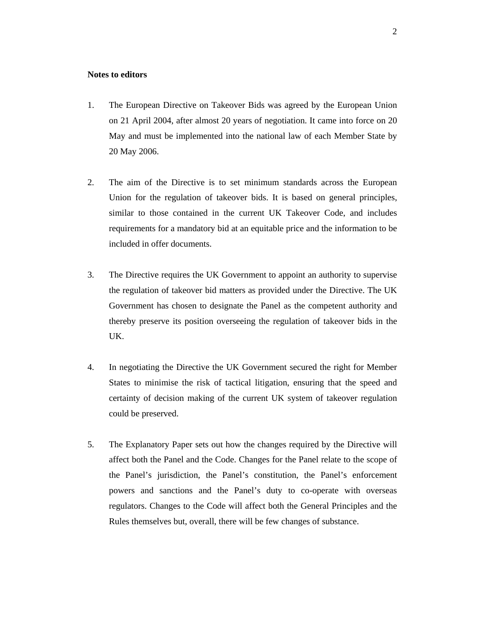# **Notes to editors**

- 1. The European Directive on Takeover Bids was agreed by the European Union on 21 April 2004, after almost 20 years of negotiation. It came into force on 20 May and must be implemented into the national law of each Member State by 20 May 2006.
- 2. The aim of the Directive is to set minimum standards across the European Union for the regulation of takeover bids. It is based on general principles, similar to those contained in the current UK Takeover Code, and includes requirements for a mandatory bid at an equitable price and the information to be included in offer documents.
- 3. The Directive requires the UK Government to appoint an authority to supervise the regulation of takeover bid matters as provided under the Directive. The UK Government has chosen to designate the Panel as the competent authority and thereby preserve its position overseeing the regulation of takeover bids in the UK.
- 4. In negotiating the Directive the UK Government secured the right for Member States to minimise the risk of tactical litigation, ensuring that the speed and certainty of decision making of the current UK system of takeover regulation could be preserved.
- 5. The Explanatory Paper sets out how the changes required by the Directive will affect both the Panel and the Code. Changes for the Panel relate to the scope of the Panel's jurisdiction, the Panel's constitution, the Panel's enforcement powers and sanctions and the Panel's duty to co-operate with overseas regulators. Changes to the Code will affect both the General Principles and the Rules themselves but, overall, there will be few changes of substance.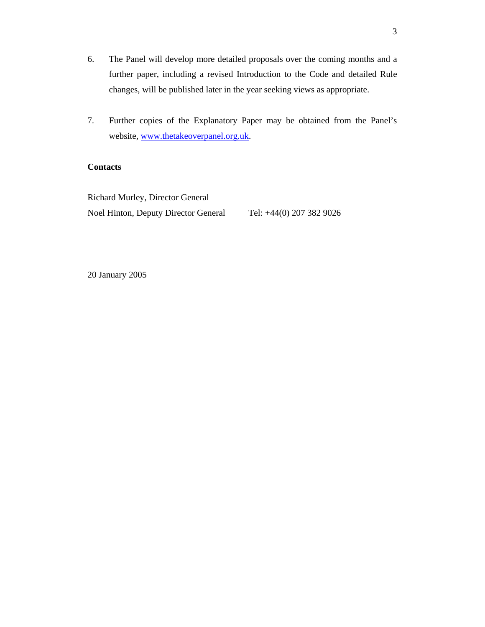- 6. The Panel will develop more detailed proposals over the coming months and a further paper, including a revised Introduction to the Code and detailed Rule changes, will be published later in the year seeking views as appropriate.
- 7. Further copies of the Explanatory Paper may be obtained from the Panel's website, www.thetakeoverpanel.org.uk.

# **Contacts**

Richard Murley, Director General Noel Hinton, Deputy Director General Tel: +44(0) 207 382 9026

20 January 2005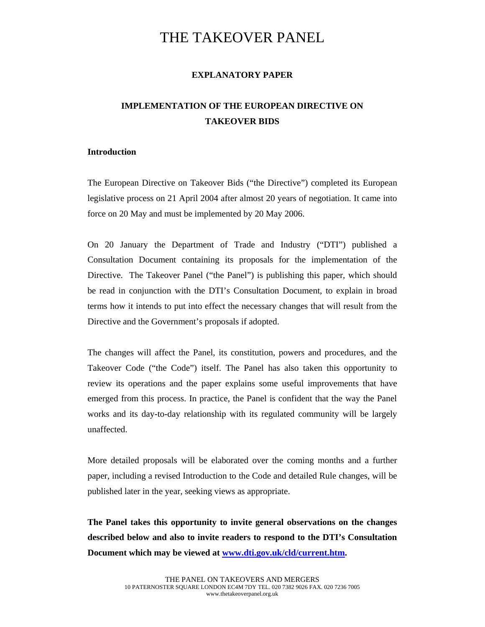# THE TAKEOVER PANEL

# **EXPLANATORY PAPER**

# **IMPLEMENTATION OF THE EUROPEAN DIRECTIVE ON TAKEOVER BIDS**

# **Introduction**

The European Directive on Takeover Bids ("the Directive") completed its European legislative process on 21 April 2004 after almost 20 years of negotiation. It came into force on 20 May and must be implemented by 20 May 2006.

On 20 January the Department of Trade and Industry ("DTI") published a Consultation Document containing its proposals for the implementation of the Directive. The Takeover Panel ("the Panel") is publishing this paper, which should be read in conjunction with the DTI's Consultation Document, to explain in broad terms how it intends to put into effect the necessary changes that will result from the Directive and the Government's proposals if adopted.

The changes will affect the Panel, its constitution, powers and procedures, and the Takeover Code ("the Code") itself. The Panel has also taken this opportunity to review its operations and the paper explains some useful improvements that have emerged from this process. In practice, the Panel is confident that the way the Panel works and its day-to-day relationship with its regulated community will be largely unaffected.

More detailed proposals will be elaborated over the coming months and a further paper, including a revised Introduction to the Code and detailed Rule changes, will be published later in the year, seeking views as appropriate.

**The Panel takes this opportunity to invite general observations on the changes described below and also to invite readers to respond to the DTI's Consultation Document which may be viewed at [www.dti.gov.uk/cld/current.htm.](http://www.dti.gov.uk/cld/current.htm)**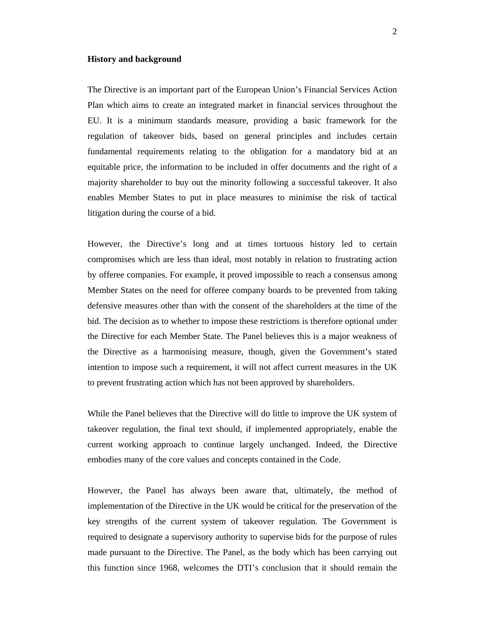#### **History and background**

The Directive is an important part of the European Union's Financial Services Action Plan which aims to create an integrated market in financial services throughout the EU. It is a minimum standards measure, providing a basic framework for the regulation of takeover bids, based on general principles and includes certain fundamental requirements relating to the obligation for a mandatory bid at an equitable price, the information to be included in offer documents and the right of a majority shareholder to buy out the minority following a successful takeover. It also enables Member States to put in place measures to minimise the risk of tactical litigation during the course of a bid.

However, the Directive's long and at times tortuous history led to certain compromises which are less than ideal, most notably in relation to frustrating action by offeree companies. For example, it proved impossible to reach a consensus among Member States on the need for offeree company boards to be prevented from taking defensive measures other than with the consent of the shareholders at the time of the bid. The decision as to whether to impose these restrictions is therefore optional under the Directive for each Member State. The Panel believes this is a major weakness of the Directive as a harmonising measure, though, given the Government's stated intention to impose such a requirement, it will not affect current measures in the UK to prevent frustrating action which has not been approved by shareholders.

While the Panel believes that the Directive will do little to improve the UK system of takeover regulation, the final text should, if implemented appropriately, enable the current working approach to continue largely unchanged. Indeed, the Directive embodies many of the core values and concepts contained in the Code.

However, the Panel has always been aware that, ultimately, the method of implementation of the Directive in the UK would be critical for the preservation of the key strengths of the current system of takeover regulation. The Government is required to designate a supervisory authority to supervise bids for the purpose of rules made pursuant to the Directive. The Panel, as the body which has been carrying out this function since 1968, welcomes the DTI's conclusion that it should remain the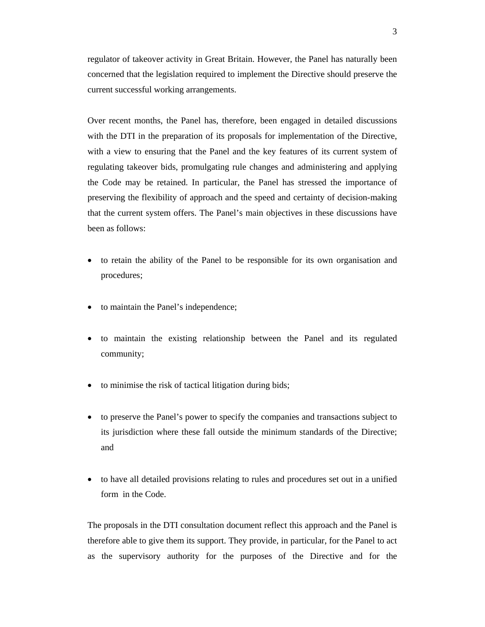regulator of takeover activity in Great Britain. However, the Panel has naturally been concerned that the legislation required to implement the Directive should preserve the current successful working arrangements.

Over recent months, the Panel has, therefore, been engaged in detailed discussions with the DTI in the preparation of its proposals for implementation of the Directive, with a view to ensuring that the Panel and the key features of its current system of regulating takeover bids, promulgating rule changes and administering and applying the Code may be retained. In particular, the Panel has stressed the importance of preserving the flexibility of approach and the speed and certainty of decision-making that the current system offers. The Panel's main objectives in these discussions have been as follows:

- to retain the ability of the Panel to be responsible for its own organisation and procedures;
- to maintain the Panel's independence;
- to maintain the existing relationship between the Panel and its regulated community;
- to minimise the risk of tactical litigation during bids;
- to preserve the Panel's power to specify the companies and transactions subject to its jurisdiction where these fall outside the minimum standards of the Directive; and
- to have all detailed provisions relating to rules and procedures set out in a unified form in the Code.

The proposals in the DTI consultation document reflect this approach and the Panel is therefore able to give them its support. They provide, in particular, for the Panel to act as the supervisory authority for the purposes of the Directive and for the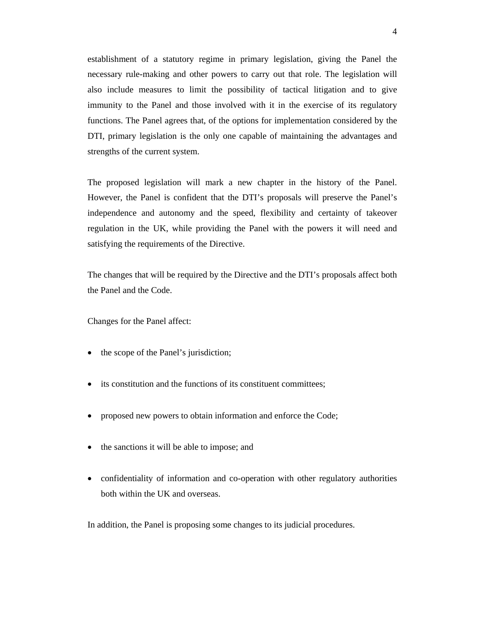establishment of a statutory regime in primary legislation, giving the Panel the necessary rule-making and other powers to carry out that role. The legislation will also include measures to limit the possibility of tactical litigation and to give immunity to the Panel and those involved with it in the exercise of its regulatory functions. The Panel agrees that, of the options for implementation considered by the DTI, primary legislation is the only one capable of maintaining the advantages and strengths of the current system.

The proposed legislation will mark a new chapter in the history of the Panel. However, the Panel is confident that the DTI's proposals will preserve the Panel's independence and autonomy and the speed, flexibility and certainty of takeover regulation in the UK, while providing the Panel with the powers it will need and satisfying the requirements of the Directive.

The changes that will be required by the Directive and the DTI's proposals affect both the Panel and the Code.

Changes for the Panel affect:

- the scope of the Panel's jurisdiction;
- its constitution and the functions of its constituent committees:
- proposed new powers to obtain information and enforce the Code;
- the sanctions it will be able to impose; and
- confidentiality of information and co-operation with other regulatory authorities both within the UK and overseas.

In addition, the Panel is proposing some changes to its judicial procedures.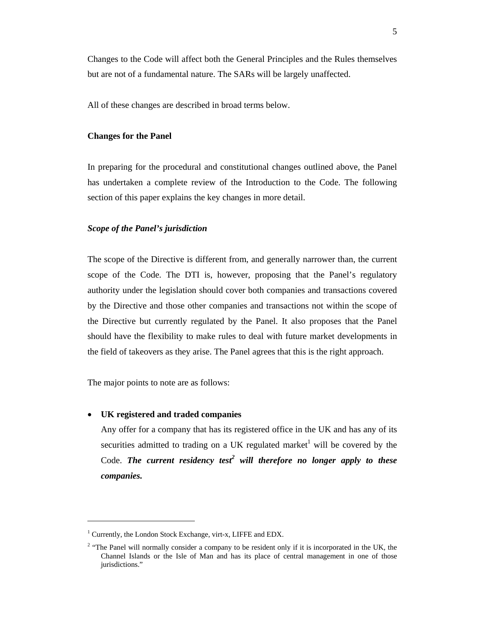Changes to the Code will affect both the General Principles and the Rules themselves but are not of a fundamental nature. The SARs will be largely unaffected.

All of these changes are described in broad terms below.

#### **Changes for the Panel**

In preparing for the procedural and constitutional changes outlined above, the Panel has undertaken a complete review of the Introduction to the Code. The following section of this paper explains the key changes in more detail.

#### *Scope of the Panel's jurisdiction*

The scope of the Directive is different from, and generally narrower than, the current scope of the Code. The DTI is, however, proposing that the Panel's regulatory authority under the legislation should cover both companies and transactions covered by the Directive and those other companies and transactions not within the scope of the Directive but currently regulated by the Panel. It also proposes that the Panel should have the flexibility to make rules to deal with future market developments in the field of takeovers as they arise. The Panel agrees that this is the right approach.

The major points to note are as follows:

#### • **UK registered and traded companies**

 $\overline{a}$ 

Any offer for a company that has its registered office in the UK and has any of its securities admitted to trading on a UK regulated market<sup>1</sup> will be covered by the Code. The current residency test<sup>2</sup> will therefore no longer apply to these *companies.* 

<sup>&</sup>lt;sup>1</sup> Currently, the London Stock Exchange, virt-x, LIFFE and EDX.

<sup>&</sup>lt;sup>2</sup> "The Panel will normally consider a company to be resident only if it is incorporated in the UK, the Channel Islands or the Isle of Man and has its place of central management in one of those jurisdictions."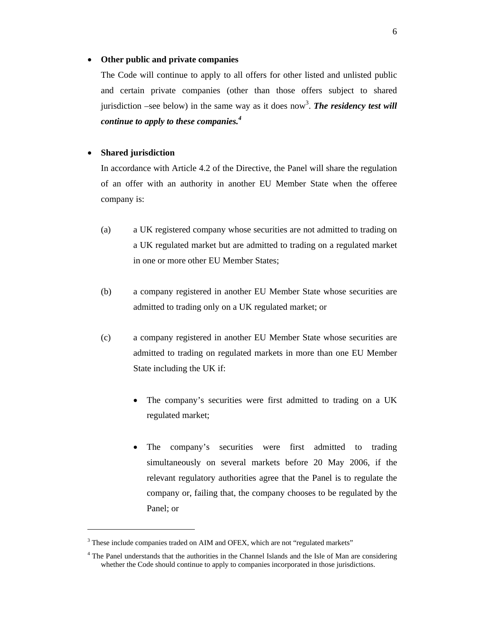#### • **Other public and private companies**

The Code will continue to apply to all offers for other listed and unlisted public and certain private companies (other than those offers subject to shared jurisdiction –see below) in the same way as it does now<sup>3</sup>. The residency test will *continue to apply to these companies.<sup>4</sup>*

# • **Shared jurisdiction**

In accordance with Article 4.2 of the Directive, the Panel will share the regulation of an offer with an authority in another EU Member State when the offeree company is:

- (a) a UK registered company whose securities are not admitted to trading on a UK regulated market but are admitted to trading on a regulated market in one or more other EU Member States;
- (b) a company registered in another EU Member State whose securities are admitted to trading only on a UK regulated market; or
- (c) a company registered in another EU Member State whose securities are admitted to trading on regulated markets in more than one EU Member State including the UK if:
	- The company's securities were first admitted to trading on a UK regulated market;
	- The company's securities were first admitted to trading simultaneously on several markets before 20 May 2006, if the relevant regulatory authorities agree that the Panel is to regulate the company or, failing that, the company chooses to be regulated by the Panel; or

<sup>&</sup>lt;sup>3</sup> These include companies traded on AIM and OFEX, which are not "regulated markets"

<sup>&</sup>lt;sup>4</sup> The Panel understands that the authorities in the Channel Islands and the Isle of Man are considering whether the Code should continue to apply to companies incorporated in those jurisdictions.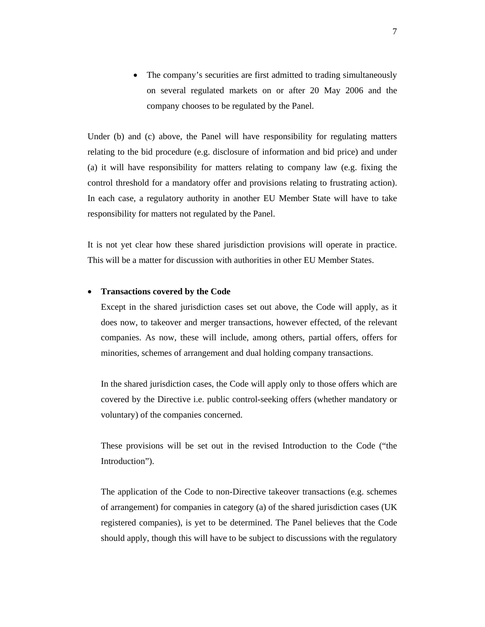The company's securities are first admitted to trading simultaneously on several regulated markets on or after 20 May 2006 and the company chooses to be regulated by the Panel.

Under (b) and (c) above, the Panel will have responsibility for regulating matters relating to the bid procedure (e.g. disclosure of information and bid price) and under (a) it will have responsibility for matters relating to company law (e.g. fixing the control threshold for a mandatory offer and provisions relating to frustrating action). In each case, a regulatory authority in another EU Member State will have to take responsibility for matters not regulated by the Panel.

It is not yet clear how these shared jurisdiction provisions will operate in practice. This will be a matter for discussion with authorities in other EU Member States.

#### • **Transactions covered by the Code**

Except in the shared jurisdiction cases set out above, the Code will apply, as it does now, to takeover and merger transactions, however effected, of the relevant companies. As now, these will include, among others, partial offers, offers for minorities, schemes of arrangement and dual holding company transactions.

In the shared jurisdiction cases, the Code will apply only to those offers which are covered by the Directive i.e. public control-seeking offers (whether mandatory or voluntary) of the companies concerned.

These provisions will be set out in the revised Introduction to the Code ("the Introduction").

The application of the Code to non-Directive takeover transactions (e.g. schemes of arrangement) for companies in category (a) of the shared jurisdiction cases (UK registered companies), is yet to be determined. The Panel believes that the Code should apply, though this will have to be subject to discussions with the regulatory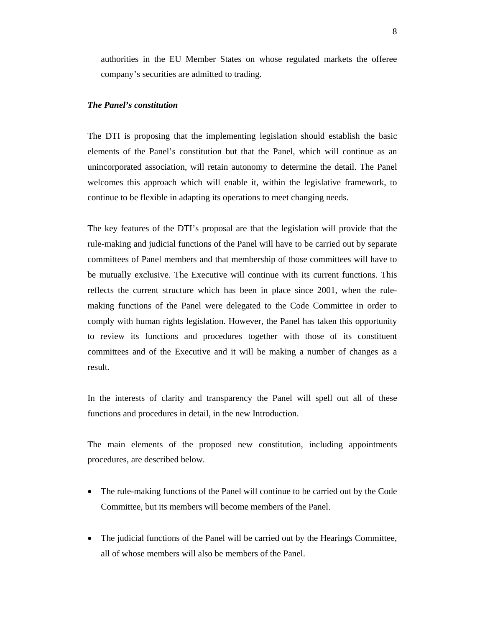authorities in the EU Member States on whose regulated markets the offeree company's securities are admitted to trading.

# *The Panel's constitution*

The DTI is proposing that the implementing legislation should establish the basic elements of the Panel's constitution but that the Panel, which will continue as an unincorporated association, will retain autonomy to determine the detail. The Panel welcomes this approach which will enable it, within the legislative framework, to continue to be flexible in adapting its operations to meet changing needs.

The key features of the DTI's proposal are that the legislation will provide that the rule-making and judicial functions of the Panel will have to be carried out by separate committees of Panel members and that membership of those committees will have to be mutually exclusive. The Executive will continue with its current functions. This reflects the current structure which has been in place since 2001, when the rulemaking functions of the Panel were delegated to the Code Committee in order to comply with human rights legislation. However, the Panel has taken this opportunity to review its functions and procedures together with those of its constituent committees and of the Executive and it will be making a number of changes as a result.

In the interests of clarity and transparency the Panel will spell out all of these functions and procedures in detail, in the new Introduction.

The main elements of the proposed new constitution, including appointments procedures, are described below.

- The rule-making functions of the Panel will continue to be carried out by the Code Committee, but its members will become members of the Panel.
- The judicial functions of the Panel will be carried out by the Hearings Committee, all of whose members will also be members of the Panel.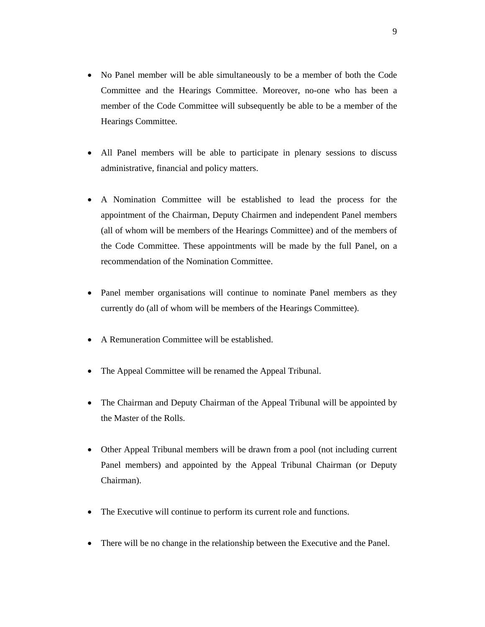- No Panel member will be able simultaneously to be a member of both the Code Committee and the Hearings Committee. Moreover, no-one who has been a member of the Code Committee will subsequently be able to be a member of the Hearings Committee.
- All Panel members will be able to participate in plenary sessions to discuss administrative, financial and policy matters.
- A Nomination Committee will be established to lead the process for the appointment of the Chairman, Deputy Chairmen and independent Panel members (all of whom will be members of the Hearings Committee) and of the members of the Code Committee. These appointments will be made by the full Panel, on a recommendation of the Nomination Committee.
- Panel member organisations will continue to nominate Panel members as they currently do (all of whom will be members of the Hearings Committee).
- A Remuneration Committee will be established.
- The Appeal Committee will be renamed the Appeal Tribunal.
- The Chairman and Deputy Chairman of the Appeal Tribunal will be appointed by the Master of the Rolls.
- Other Appeal Tribunal members will be drawn from a pool (not including current Panel members) and appointed by the Appeal Tribunal Chairman (or Deputy Chairman).
- The Executive will continue to perform its current role and functions.
- There will be no change in the relationship between the Executive and the Panel.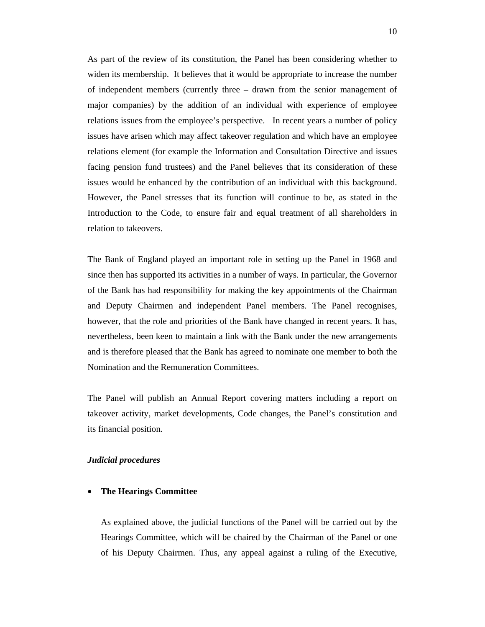As part of the review of its constitution, the Panel has been considering whether to widen its membership. It believes that it would be appropriate to increase the number of independent members (currently three – drawn from the senior management of major companies) by the addition of an individual with experience of employee relations issues from the employee's perspective. In recent years a number of policy issues have arisen which may affect takeover regulation and which have an employee relations element (for example the Information and Consultation Directive and issues facing pension fund trustees) and the Panel believes that its consideration of these issues would be enhanced by the contribution of an individual with this background. However, the Panel stresses that its function will continue to be, as stated in the Introduction to the Code, to ensure fair and equal treatment of all shareholders in relation to takeovers.

The Bank of England played an important role in setting up the Panel in 1968 and since then has supported its activities in a number of ways. In particular, the Governor of the Bank has had responsibility for making the key appointments of the Chairman and Deputy Chairmen and independent Panel members. The Panel recognises, however, that the role and priorities of the Bank have changed in recent years. It has, nevertheless, been keen to maintain a link with the Bank under the new arrangements and is therefore pleased that the Bank has agreed to nominate one member to both the Nomination and the Remuneration Committees.

The Panel will publish an Annual Report covering matters including a report on takeover activity, market developments, Code changes, the Panel's constitution and its financial position.

#### *Judicial procedures*

#### • **The Hearings Committee**

As explained above, the judicial functions of the Panel will be carried out by the Hearings Committee, which will be chaired by the Chairman of the Panel or one of his Deputy Chairmen. Thus, any appeal against a ruling of the Executive,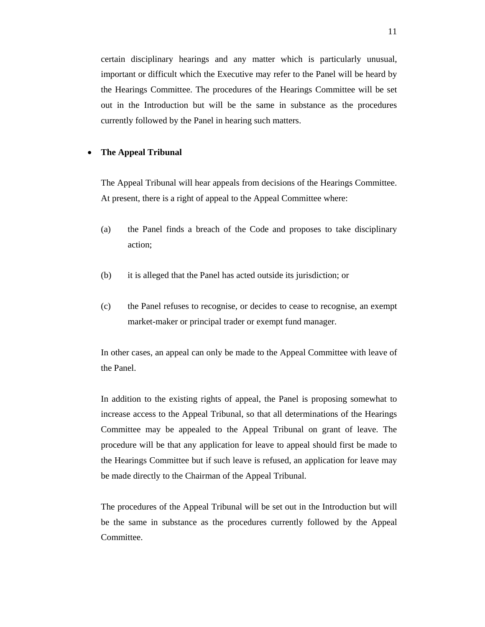certain disciplinary hearings and any matter which is particularly unusual, important or difficult which the Executive may refer to the Panel will be heard by the Hearings Committee. The procedures of the Hearings Committee will be set out in the Introduction but will be the same in substance as the procedures currently followed by the Panel in hearing such matters.

# • **The Appeal Tribunal**

The Appeal Tribunal will hear appeals from decisions of the Hearings Committee. At present, there is a right of appeal to the Appeal Committee where:

- (a) the Panel finds a breach of the Code and proposes to take disciplinary action;
- (b) it is alleged that the Panel has acted outside its jurisdiction; or
- (c) the Panel refuses to recognise, or decides to cease to recognise, an exempt market-maker or principal trader or exempt fund manager.

In other cases, an appeal can only be made to the Appeal Committee with leave of the Panel.

In addition to the existing rights of appeal, the Panel is proposing somewhat to increase access to the Appeal Tribunal, so that all determinations of the Hearings Committee may be appealed to the Appeal Tribunal on grant of leave. The procedure will be that any application for leave to appeal should first be made to the Hearings Committee but if such leave is refused, an application for leave may be made directly to the Chairman of the Appeal Tribunal.

The procedures of the Appeal Tribunal will be set out in the Introduction but will be the same in substance as the procedures currently followed by the Appeal Committee.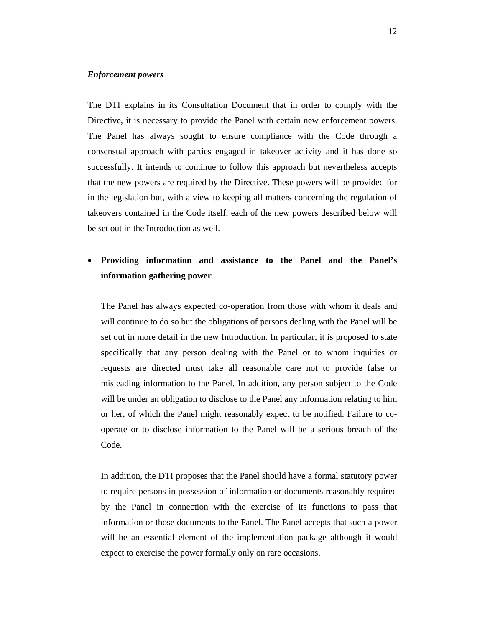#### *Enforcement powers*

The DTI explains in its Consultation Document that in order to comply with the Directive, it is necessary to provide the Panel with certain new enforcement powers. The Panel has always sought to ensure compliance with the Code through a consensual approach with parties engaged in takeover activity and it has done so successfully. It intends to continue to follow this approach but nevertheless accepts that the new powers are required by the Directive. These powers will be provided for in the legislation but, with a view to keeping all matters concerning the regulation of takeovers contained in the Code itself, each of the new powers described below will be set out in the Introduction as well.

# • **Providing information and assistance to the Panel and the Panel's information gathering power**

The Panel has always expected co-operation from those with whom it deals and will continue to do so but the obligations of persons dealing with the Panel will be set out in more detail in the new Introduction. In particular, it is proposed to state specifically that any person dealing with the Panel or to whom inquiries or requests are directed must take all reasonable care not to provide false or misleading information to the Panel. In addition, any person subject to the Code will be under an obligation to disclose to the Panel any information relating to him or her, of which the Panel might reasonably expect to be notified. Failure to cooperate or to disclose information to the Panel will be a serious breach of the Code.

In addition, the DTI proposes that the Panel should have a formal statutory power to require persons in possession of information or documents reasonably required by the Panel in connection with the exercise of its functions to pass that information or those documents to the Panel. The Panel accepts that such a power will be an essential element of the implementation package although it would expect to exercise the power formally only on rare occasions.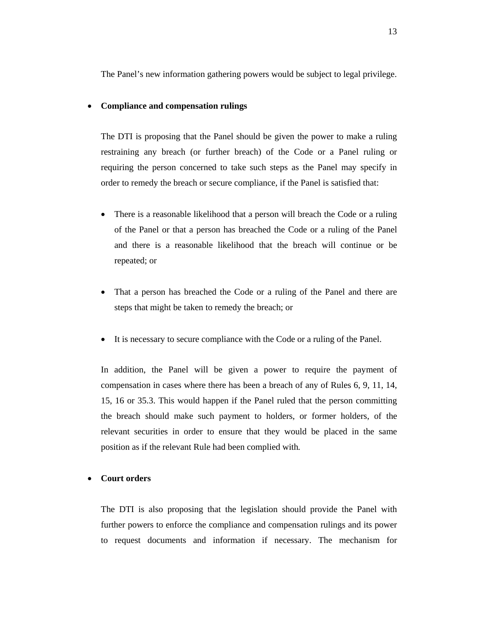The Panel's new information gathering powers would be subject to legal privilege.

#### • **Compliance and compensation rulings**

The DTI is proposing that the Panel should be given the power to make a ruling restraining any breach (or further breach) of the Code or a Panel ruling or requiring the person concerned to take such steps as the Panel may specify in order to remedy the breach or secure compliance, if the Panel is satisfied that:

- There is a reasonable likelihood that a person will breach the Code or a ruling of the Panel or that a person has breached the Code or a ruling of the Panel and there is a reasonable likelihood that the breach will continue or be repeated; or
- That a person has breached the Code or a ruling of the Panel and there are steps that might be taken to remedy the breach; or
- It is necessary to secure compliance with the Code or a ruling of the Panel.

In addition, the Panel will be given a power to require the payment of compensation in cases where there has been a breach of any of Rules 6, 9, 11, 14, 15, 16 or 35.3. This would happen if the Panel ruled that the person committing the breach should make such payment to holders, or former holders, of the relevant securities in order to ensure that they would be placed in the same position as if the relevant Rule had been complied with*.*

#### • **Court orders**

The DTI is also proposing that the legislation should provide the Panel with further powers to enforce the compliance and compensation rulings and its power to request documents and information if necessary. The mechanism for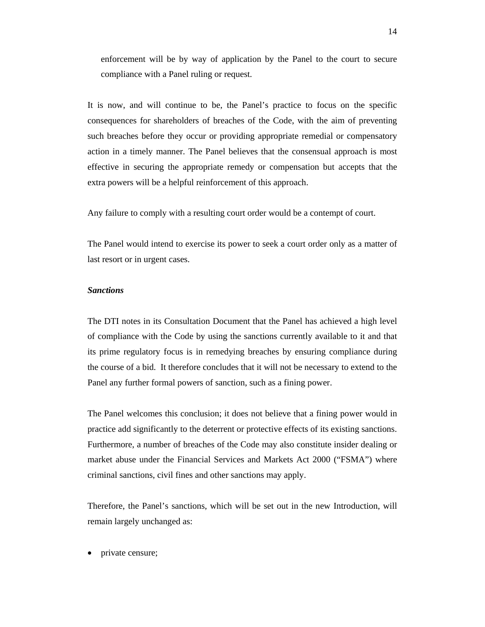enforcement will be by way of application by the Panel to the court to secure compliance with a Panel ruling or request.

It is now, and will continue to be, the Panel's practice to focus on the specific consequences for shareholders of breaches of the Code, with the aim of preventing such breaches before they occur or providing appropriate remedial or compensatory action in a timely manner. The Panel believes that the consensual approach is most effective in securing the appropriate remedy or compensation but accepts that the extra powers will be a helpful reinforcement of this approach.

Any failure to comply with a resulting court order would be a contempt of court.

The Panel would intend to exercise its power to seek a court order only as a matter of last resort or in urgent cases.

#### *Sanctions*

The DTI notes in its Consultation Document that the Panel has achieved a high level of compliance with the Code by using the sanctions currently available to it and that its prime regulatory focus is in remedying breaches by ensuring compliance during the course of a bid. It therefore concludes that it will not be necessary to extend to the Panel any further formal powers of sanction, such as a fining power.

The Panel welcomes this conclusion; it does not believe that a fining power would in practice add significantly to the deterrent or protective effects of its existing sanctions. Furthermore, a number of breaches of the Code may also constitute insider dealing or market abuse under the Financial Services and Markets Act 2000 ("FSMA") where criminal sanctions, civil fines and other sanctions may apply.

Therefore, the Panel's sanctions, which will be set out in the new Introduction, will remain largely unchanged as:

• private censure;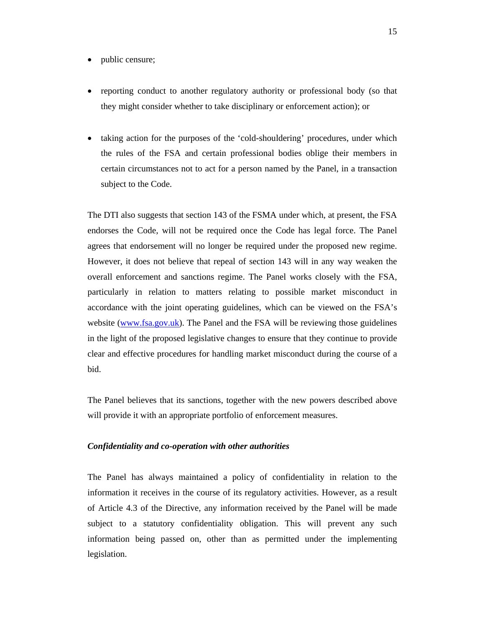- public censure;
- reporting conduct to another regulatory authority or professional body (so that they might consider whether to take disciplinary or enforcement action); or
- taking action for the purposes of the 'cold-shouldering' procedures, under which the rules of the FSA and certain professional bodies oblige their members in certain circumstances not to act for a person named by the Panel, in a transaction subject to the Code.

The DTI also suggests that section 143 of the FSMA under which, at present, the FSA endorses the Code, will not be required once the Code has legal force. The Panel agrees that endorsement will no longer be required under the proposed new regime. However, it does not believe that repeal of section 143 will in any way weaken the overall enforcement and sanctions regime. The Panel works closely with the FSA, particularly in relation to matters relating to possible market misconduct in accordance with the joint operating guidelines, which can be viewed on the FSA's website (www.fsa.gov.uk). The Panel and the FSA will be reviewing those guidelines in the light of the proposed legislative changes to ensure that they continue to provide clear and effective procedures for handling market misconduct during the course of a bid.

The Panel believes that its sanctions, together with the new powers described above will provide it with an appropriate portfolio of enforcement measures.

#### *Confidentiality and co-operation with other authorities*

The Panel has always maintained a policy of confidentiality in relation to the information it receives in the course of its regulatory activities. However, as a result of Article 4.3 of the Directive, any information received by the Panel will be made subject to a statutory confidentiality obligation. This will prevent any such information being passed on, other than as permitted under the implementing legislation.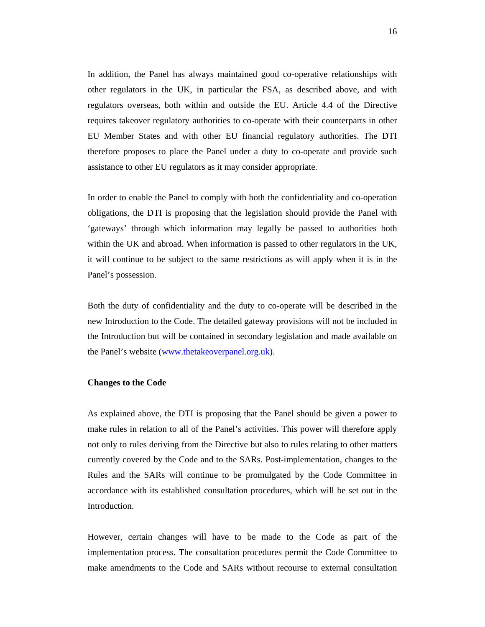In addition, the Panel has always maintained good co-operative relationships with other regulators in the UK, in particular the FSA, as described above, and with regulators overseas, both within and outside the EU. Article 4.4 of the Directive requires takeover regulatory authorities to co-operate with their counterparts in other EU Member States and with other EU financial regulatory authorities. The DTI therefore proposes to place the Panel under a duty to co-operate and provide such assistance to other EU regulators as it may consider appropriate.

In order to enable the Panel to comply with both the confidentiality and co-operation obligations, the DTI is proposing that the legislation should provide the Panel with 'gateways' through which information may legally be passed to authorities both within the UK and abroad. When information is passed to other regulators in the UK, it will continue to be subject to the same restrictions as will apply when it is in the Panel's possession.

Both the duty of confidentiality and the duty to co-operate will be described in the new Introduction to the Code. The detailed gateway provisions will not be included in the Introduction but will be contained in secondary legislation and made available on the Panel's website (www.thetakeoverpanel.org.uk).

#### **Changes to the Code**

As explained above, the DTI is proposing that the Panel should be given a power to make rules in relation to all of the Panel's activities. This power will therefore apply not only to rules deriving from the Directive but also to rules relating to other matters currently covered by the Code and to the SARs. Post-implementation, changes to the Rules and the SARs will continue to be promulgated by the Code Committee in accordance with its established consultation procedures, which will be set out in the Introduction.

However, certain changes will have to be made to the Code as part of the implementation process. The consultation procedures permit the Code Committee to make amendments to the Code and SARs without recourse to external consultation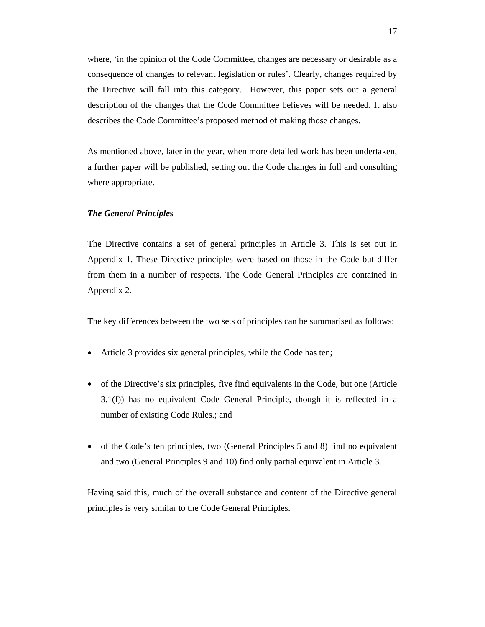where, 'in the opinion of the Code Committee, changes are necessary or desirable as a consequence of changes to relevant legislation or rules'. Clearly, changes required by the Directive will fall into this category. However, this paper sets out a general description of the changes that the Code Committee believes will be needed. It also describes the Code Committee's proposed method of making those changes.

As mentioned above, later in the year, when more detailed work has been undertaken, a further paper will be published, setting out the Code changes in full and consulting where appropriate.

# *The General Principles*

The Directive contains a set of general principles in Article 3. This is set out in Appendix 1. These Directive principles were based on those in the Code but differ from them in a number of respects. The Code General Principles are contained in Appendix 2.

The key differences between the two sets of principles can be summarised as follows:

- Article 3 provides six general principles, while the Code has ten;
- of the Directive's six principles, five find equivalents in the Code, but one (Article 3.1(f)) has no equivalent Code General Principle, though it is reflected in a number of existing Code Rules.; and
- of the Code's ten principles, two (General Principles 5 and 8) find no equivalent and two (General Principles 9 and 10) find only partial equivalent in Article 3.

Having said this, much of the overall substance and content of the Directive general principles is very similar to the Code General Principles.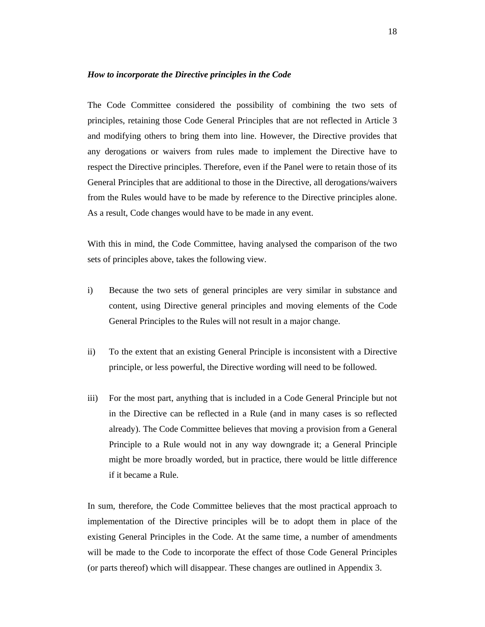#### *How to incorporate the Directive principles in the Code*

The Code Committee considered the possibility of combining the two sets of principles, retaining those Code General Principles that are not reflected in Article 3 and modifying others to bring them into line. However, the Directive provides that any derogations or waivers from rules made to implement the Directive have to respect the Directive principles. Therefore, even if the Panel were to retain those of its General Principles that are additional to those in the Directive, all derogations/waivers from the Rules would have to be made by reference to the Directive principles alone. As a result, Code changes would have to be made in any event.

With this in mind, the Code Committee, having analysed the comparison of the two sets of principles above, takes the following view.

- i) Because the two sets of general principles are very similar in substance and content, using Directive general principles and moving elements of the Code General Principles to the Rules will not result in a major change.
- ii) To the extent that an existing General Principle is inconsistent with a Directive principle, or less powerful, the Directive wording will need to be followed.
- iii) For the most part, anything that is included in a Code General Principle but not in the Directive can be reflected in a Rule (and in many cases is so reflected already). The Code Committee believes that moving a provision from a General Principle to a Rule would not in any way downgrade it; a General Principle might be more broadly worded, but in practice, there would be little difference if it became a Rule.

In sum, therefore, the Code Committee believes that the most practical approach to implementation of the Directive principles will be to adopt them in place of the existing General Principles in the Code. At the same time, a number of amendments will be made to the Code to incorporate the effect of those Code General Principles (or parts thereof) which will disappear. These changes are outlined in Appendix 3.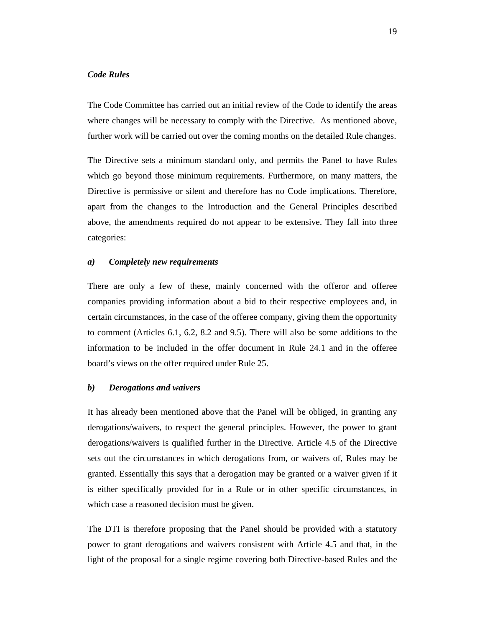# *Code Rules*

The Code Committee has carried out an initial review of the Code to identify the areas where changes will be necessary to comply with the Directive. As mentioned above, further work will be carried out over the coming months on the detailed Rule changes.

The Directive sets a minimum standard only, and permits the Panel to have Rules which go beyond those minimum requirements. Furthermore, on many matters, the Directive is permissive or silent and therefore has no Code implications. Therefore, apart from the changes to the Introduction and the General Principles described above, the amendments required do not appear to be extensive. They fall into three categories:

#### *a) Completely new requirements*

There are only a few of these, mainly concerned with the offeror and offeree companies providing information about a bid to their respective employees and, in certain circumstances, in the case of the offeree company, giving them the opportunity to comment (Articles 6.1, 6.2, 8.2 and 9.5). There will also be some additions to the information to be included in the offer document in Rule 24.1 and in the offeree board's views on the offer required under Rule 25.

#### *b) Derogations and waivers*

It has already been mentioned above that the Panel will be obliged, in granting any derogations/waivers, to respect the general principles. However, the power to grant derogations/waivers is qualified further in the Directive. Article 4.5 of the Directive sets out the circumstances in which derogations from, or waivers of, Rules may be granted. Essentially this says that a derogation may be granted or a waiver given if it is either specifically provided for in a Rule or in other specific circumstances, in which case a reasoned decision must be given.

The DTI is therefore proposing that the Panel should be provided with a statutory power to grant derogations and waivers consistent with Article 4.5 and that, in the light of the proposal for a single regime covering both Directive-based Rules and the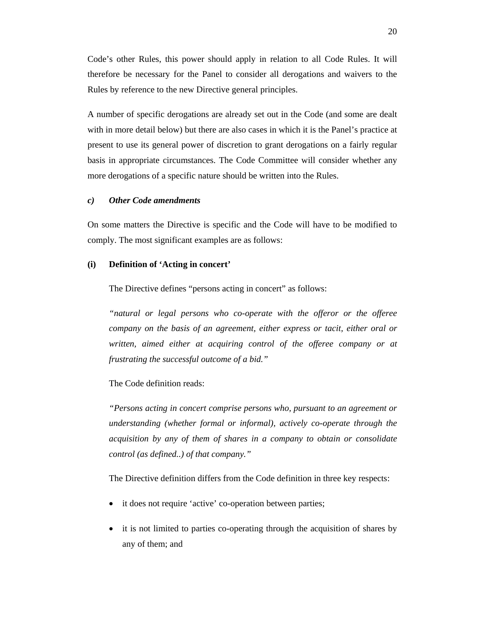Code's other Rules, this power should apply in relation to all Code Rules. It will therefore be necessary for the Panel to consider all derogations and waivers to the Rules by reference to the new Directive general principles.

A number of specific derogations are already set out in the Code (and some are dealt with in more detail below) but there are also cases in which it is the Panel's practice at present to use its general power of discretion to grant derogations on a fairly regular basis in appropriate circumstances. The Code Committee will consider whether any more derogations of a specific nature should be written into the Rules.

#### *c) Other Code amendments*

On some matters the Directive is specific and the Code will have to be modified to comply. The most significant examples are as follows:

#### **(i) Definition of 'Acting in concert'**

The Directive defines "persons acting in concert" as follows:

*"natural or legal persons who co-operate with the offeror or the offeree company on the basis of an agreement, either express or tacit, either oral or written, aimed either at acquiring control of the offeree company or at frustrating the successful outcome of a bid."* 

The Code definition reads:

*"Persons acting in concert comprise persons who, pursuant to an agreement or understanding (whether formal or informal), actively co-operate through the acquisition by any of them of shares in a company to obtain or consolidate control (as defined..) of that company."* 

The Directive definition differs from the Code definition in three key respects:

- it does not require 'active' co-operation between parties;
- it is not limited to parties co-operating through the acquisition of shares by any of them; and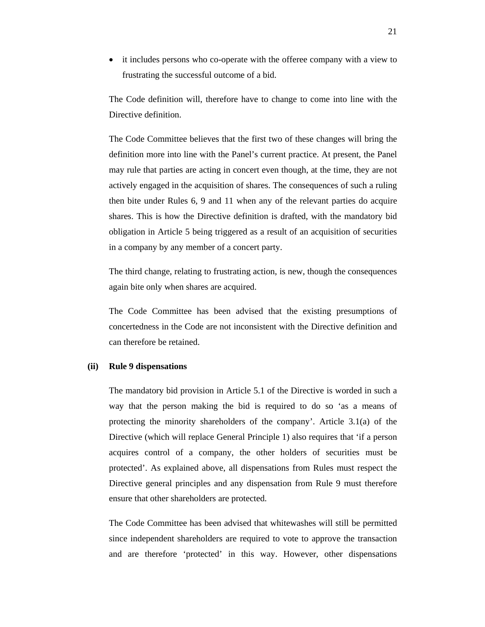• it includes persons who co-operate with the offeree company with a view to frustrating the successful outcome of a bid.

The Code definition will, therefore have to change to come into line with the Directive definition.

The Code Committee believes that the first two of these changes will bring the definition more into line with the Panel's current practice. At present, the Panel may rule that parties are acting in concert even though, at the time, they are not actively engaged in the acquisition of shares. The consequences of such a ruling then bite under Rules 6, 9 and 11 when any of the relevant parties do acquire shares. This is how the Directive definition is drafted, with the mandatory bid obligation in Article 5 being triggered as a result of an acquisition of securities in a company by any member of a concert party.

The third change, relating to frustrating action, is new, though the consequences again bite only when shares are acquired.

The Code Committee has been advised that the existing presumptions of concertedness in the Code are not inconsistent with the Directive definition and can therefore be retained.

# **(ii) Rule 9 dispensations**

The mandatory bid provision in Article 5.1 of the Directive is worded in such a way that the person making the bid is required to do so 'as a means of protecting the minority shareholders of the company'. Article 3.1(a) of the Directive (which will replace General Principle 1) also requires that 'if a person acquires control of a company, the other holders of securities must be protected'. As explained above, all dispensations from Rules must respect the Directive general principles and any dispensation from Rule 9 must therefore ensure that other shareholders are protected.

The Code Committee has been advised that whitewashes will still be permitted since independent shareholders are required to vote to approve the transaction and are therefore 'protected' in this way. However, other dispensations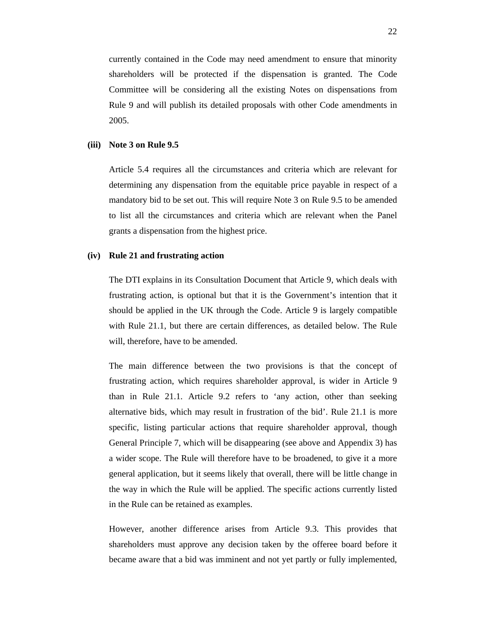currently contained in the Code may need amendment to ensure that minority shareholders will be protected if the dispensation is granted. The Code Committee will be considering all the existing Notes on dispensations from Rule 9 and will publish its detailed proposals with other Code amendments in 2005.

#### **(iii) Note 3 on Rule 9.5**

Article 5.4 requires all the circumstances and criteria which are relevant for determining any dispensation from the equitable price payable in respect of a mandatory bid to be set out. This will require Note 3 on Rule 9.5 to be amended to list all the circumstances and criteria which are relevant when the Panel grants a dispensation from the highest price.

#### **(iv) Rule 21 and frustrating action**

The DTI explains in its Consultation Document that Article 9, which deals with frustrating action, is optional but that it is the Government's intention that it should be applied in the UK through the Code. Article 9 is largely compatible with Rule 21.1, but there are certain differences, as detailed below. The Rule will, therefore, have to be amended.

The main difference between the two provisions is that the concept of frustrating action, which requires shareholder approval, is wider in Article 9 than in Rule 21.1. Article 9.2 refers to 'any action, other than seeking alternative bids, which may result in frustration of the bid'. Rule 21.1 is more specific, listing particular actions that require shareholder approval, though General Principle 7, which will be disappearing (see above and Appendix 3) has a wider scope. The Rule will therefore have to be broadened, to give it a more general application, but it seems likely that overall, there will be little change in the way in which the Rule will be applied. The specific actions currently listed in the Rule can be retained as examples.

However, another difference arises from Article 9.3. This provides that shareholders must approve any decision taken by the offeree board before it became aware that a bid was imminent and not yet partly or fully implemented,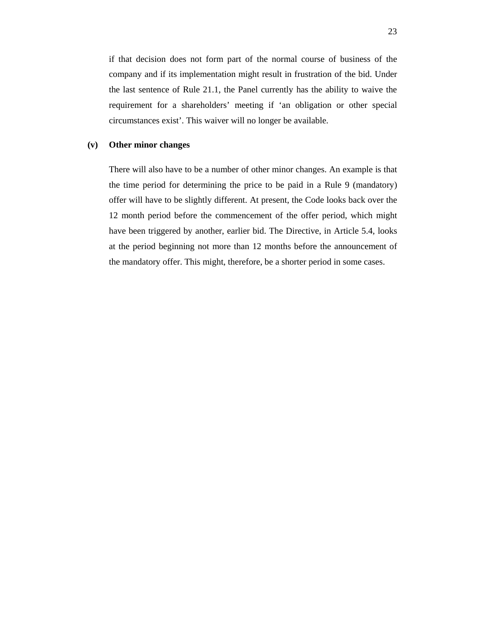if that decision does not form part of the normal course of business of the company and if its implementation might result in frustration of the bid. Under the last sentence of Rule 21.1, the Panel currently has the ability to waive the requirement for a shareholders' meeting if 'an obligation or other special circumstances exist'. This waiver will no longer be available.

# **(v) Other minor changes**

There will also have to be a number of other minor changes. An example is that the time period for determining the price to be paid in a Rule 9 (mandatory) offer will have to be slightly different. At present, the Code looks back over the 12 month period before the commencement of the offer period, which might have been triggered by another, earlier bid. The Directive, in Article 5.4, looks at the period beginning not more than 12 months before the announcement of the mandatory offer. This might, therefore, be a shorter period in some cases.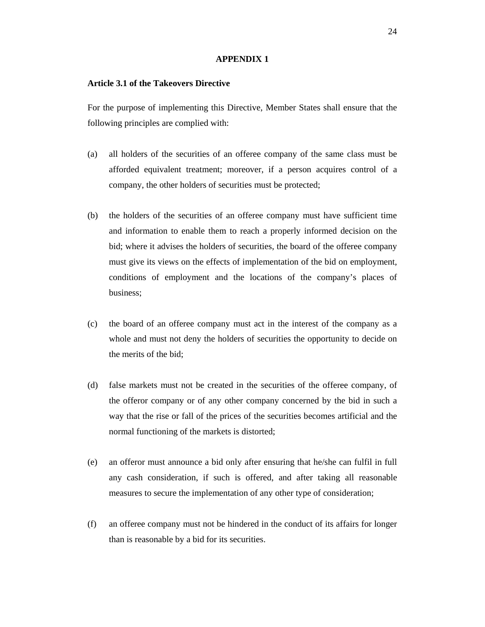#### **APPENDIX 1**

#### **Article 3.1 of the Takeovers Directive**

For the purpose of implementing this Directive, Member States shall ensure that the following principles are complied with:

- (a) all holders of the securities of an offeree company of the same class must be afforded equivalent treatment; moreover, if a person acquires control of a company, the other holders of securities must be protected;
- (b) the holders of the securities of an offeree company must have sufficient time and information to enable them to reach a properly informed decision on the bid; where it advises the holders of securities, the board of the offeree company must give its views on the effects of implementation of the bid on employment, conditions of employment and the locations of the company's places of business;
- (c) the board of an offeree company must act in the interest of the company as a whole and must not deny the holders of securities the opportunity to decide on the merits of the bid;
- (d) false markets must not be created in the securities of the offeree company, of the offeror company or of any other company concerned by the bid in such a way that the rise or fall of the prices of the securities becomes artificial and the normal functioning of the markets is distorted;
- (e) an offeror must announce a bid only after ensuring that he/she can fulfil in full any cash consideration, if such is offered, and after taking all reasonable measures to secure the implementation of any other type of consideration;
- (f) an offeree company must not be hindered in the conduct of its affairs for longer than is reasonable by a bid for its securities.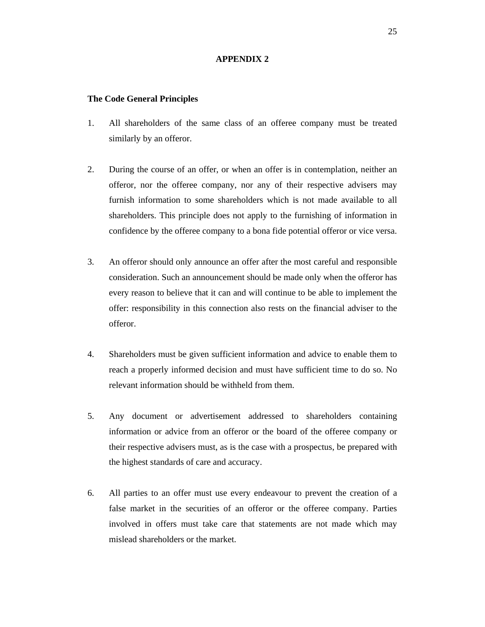# **APPENDIX 2**

#### **The Code General Principles**

- 1. All shareholders of the same class of an offeree company must be treated similarly by an offeror.
- 2. During the course of an offer, or when an offer is in contemplation, neither an offeror, nor the offeree company, nor any of their respective advisers may furnish information to some shareholders which is not made available to all shareholders. This principle does not apply to the furnishing of information in confidence by the offeree company to a bona fide potential offeror or vice versa.
- 3. An offeror should only announce an offer after the most careful and responsible consideration. Such an announcement should be made only when the offeror has every reason to believe that it can and will continue to be able to implement the offer: responsibility in this connection also rests on the financial adviser to the offeror.
- 4. Shareholders must be given sufficient information and advice to enable them to reach a properly informed decision and must have sufficient time to do so. No relevant information should be withheld from them.
- 5. Any document or advertisement addressed to shareholders containing information or advice from an offeror or the board of the offeree company or their respective advisers must, as is the case with a prospectus, be prepared with the highest standards of care and accuracy.
- 6. All parties to an offer must use every endeavour to prevent the creation of a false market in the securities of an offeror or the offeree company. Parties involved in offers must take care that statements are not made which may mislead shareholders or the market.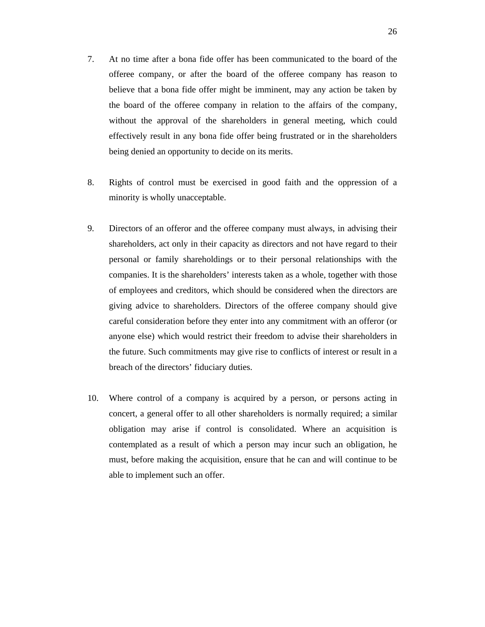- 7. At no time after a bona fide offer has been communicated to the board of the offeree company, or after the board of the offeree company has reason to believe that a bona fide offer might be imminent, may any action be taken by the board of the offeree company in relation to the affairs of the company, without the approval of the shareholders in general meeting, which could effectively result in any bona fide offer being frustrated or in the shareholders being denied an opportunity to decide on its merits.
- 8. Rights of control must be exercised in good faith and the oppression of a minority is wholly unacceptable.
- 9. Directors of an offeror and the offeree company must always, in advising their shareholders, act only in their capacity as directors and not have regard to their personal or family shareholdings or to their personal relationships with the companies. It is the shareholders' interests taken as a whole, together with those of employees and creditors, which should be considered when the directors are giving advice to shareholders. Directors of the offeree company should give careful consideration before they enter into any commitment with an offeror (or anyone else) which would restrict their freedom to advise their shareholders in the future. Such commitments may give rise to conflicts of interest or result in a breach of the directors' fiduciary duties.
- 10. Where control of a company is acquired by a person, or persons acting in concert, a general offer to all other shareholders is normally required; a similar obligation may arise if control is consolidated. Where an acquisition is contemplated as a result of which a person may incur such an obligation, he must, before making the acquisition, ensure that he can and will continue to be able to implement such an offer.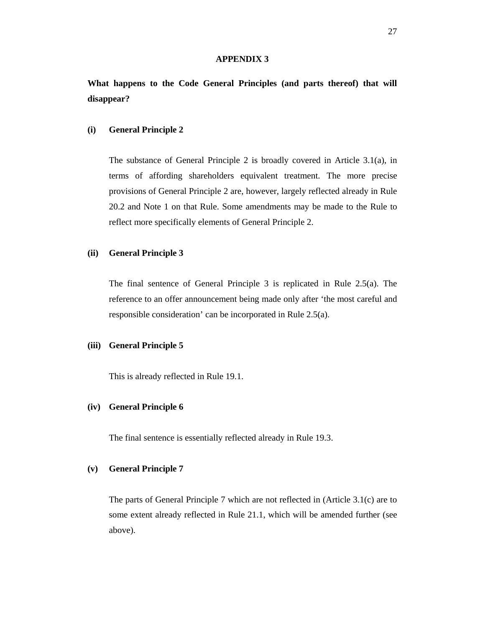#### **APPENDIX 3**

**What happens to the Code General Principles (and parts thereof) that will disappear?** 

#### **(i) General Principle 2**

The substance of General Principle 2 is broadly covered in Article 3.1(a), in terms of affording shareholders equivalent treatment. The more precise provisions of General Principle 2 are, however, largely reflected already in Rule 20.2 and Note 1 on that Rule. Some amendments may be made to the Rule to reflect more specifically elements of General Principle 2.

#### **(ii) General Principle 3**

The final sentence of General Principle 3 is replicated in Rule 2.5(a). The reference to an offer announcement being made only after 'the most careful and responsible consideration' can be incorporated in Rule 2.5(a).

# **(iii) General Principle 5**

This is already reflected in Rule 19.1.

# **(iv) General Principle 6**

The final sentence is essentially reflected already in Rule 19.3.

#### **(v) General Principle 7**

The parts of General Principle 7 which are not reflected in (Article 3.1(c) are to some extent already reflected in Rule 21.1, which will be amended further (see above).